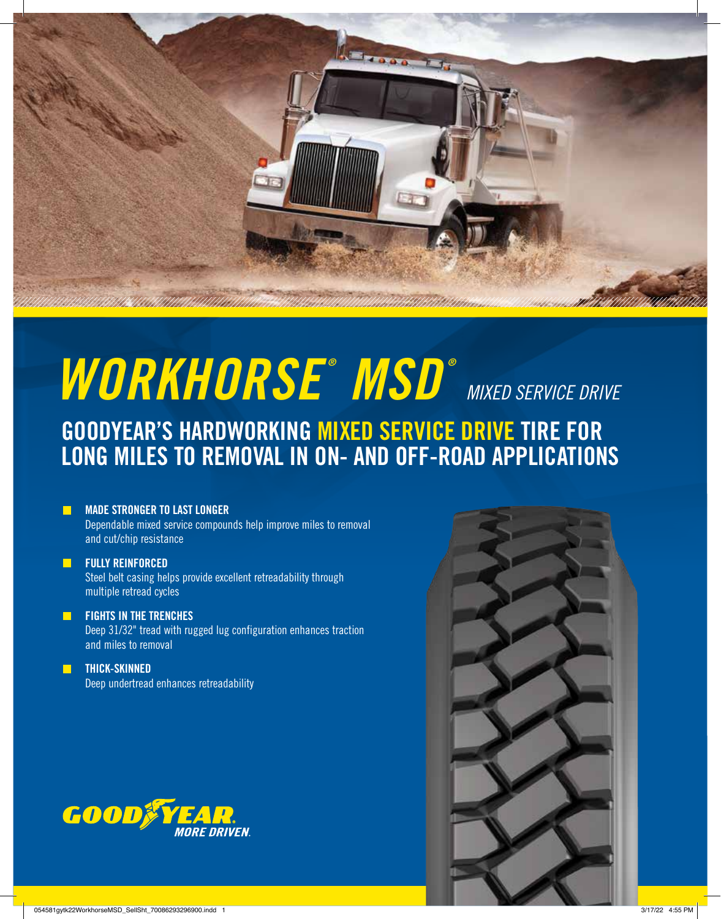

# *WORKHORSE ® MSD ® MIXED SERVICE DRIVE*

## GOODYEAR'S HARDWORKING MIXED SERVICE DRIVE TIRE FOR LONG MILES TO REMOVAL IN ON- AND OFF-ROAD APPLICATIONS

#### MADE STRONGER TO LAST LONGER

Dependable mixed service compounds help improve miles to removal and cut/chip resistance

#### **FULLY REINFORCED**

Steel belt casing helps provide excellent retreadability through multiple retread cycles

#### FIGHTS IN THE TRENCHES

Deep 31/32" tread with rugged lug configuration enhances traction and miles to removal

### THICK-SKINNED

Deep undertread enhances retreadability